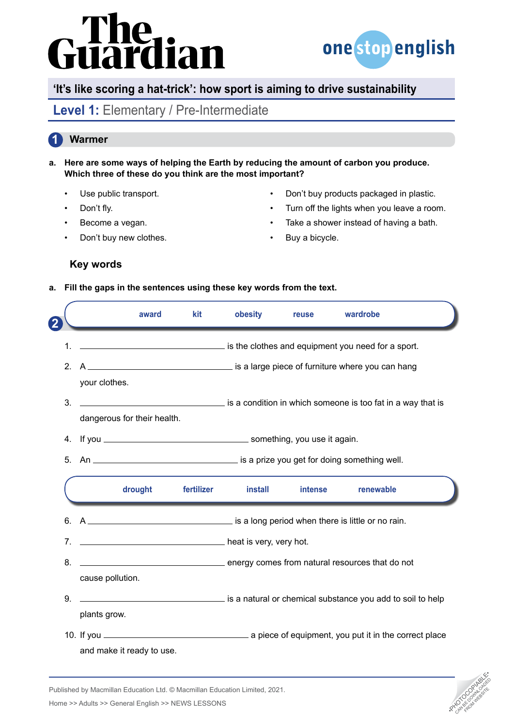# Guardian



## **'It's like scoring a hat-trick': how sport is aiming to drive sustainability**

# Level 1: Elementary / Pre-Intermediate

#### **1 Warmer**

- **a. Here are some ways of helping the Earth by reducing the amount of carbon you produce. Which three of these do you think are the most important?**
	- Use public transport.
	- Don't fly.
	- Become a vegan.
	- Don't buy new clothes.
- Don't buy products packaged in plastic.
- Turn off the lights when you leave a room.
- Take a shower instead of having a bath.
- Buy a bicycle.

#### **Key words**

**a. Fill the gaps in the sentences using these key words from the text.** 

|                                                                           |                                                                                            | award   | <b>kit</b> | obesity                 | reuse   | wardrobe                                                   |  |
|---------------------------------------------------------------------------|--------------------------------------------------------------------------------------------|---------|------------|-------------------------|---------|------------------------------------------------------------|--|
| $\mathbf 1$                                                               |                                                                                            |         |            |                         |         | is the clothes and equipment you need for a sport.         |  |
| 2 <sub>1</sub>                                                            | your clothes.                                                                              |         |            |                         |         |                                                            |  |
| 3.                                                                        | is a condition in which someone is too fat in a way that is<br>dangerous for their health. |         |            |                         |         |                                                            |  |
|                                                                           |                                                                                            |         |            |                         |         |                                                            |  |
| 5.                                                                        |                                                                                            |         |            |                         |         |                                                            |  |
|                                                                           |                                                                                            | drought |            | fertilizer install      | intense | renewable                                                  |  |
|                                                                           |                                                                                            |         |            |                         |         |                                                            |  |
| 7 <sub>1</sub>                                                            |                                                                                            |         |            | heat is very, very hot. |         |                                                            |  |
| 8.<br>energy comes from natural resources that do not<br>cause pollution. |                                                                                            |         |            |                         |         |                                                            |  |
|                                                                           |                                                                                            |         |            |                         |         |                                                            |  |
| 9.                                                                        | plants grow.                                                                               |         |            |                         |         | is a natural or chemical substance you add to soil to help |  |



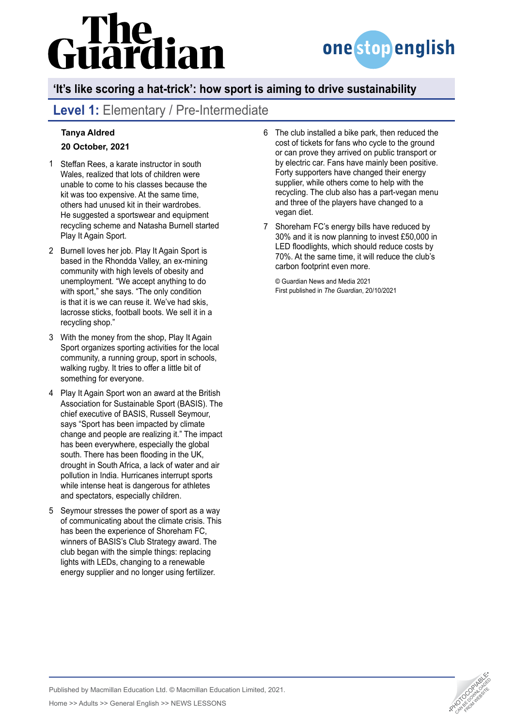# uardian



# **'It's like scoring a hat-trick': how sport is aiming to drive sustainability**

# **Level 1:** Elementary / Pre-Intermediate

#### **[Tanya Aldred](https://www.theguardian.com/profile/tanyaaldred) 20 October, 2021**

- Steffan Rees, a karate instructor in south 1 Wales, realized that lots of children were unable to come to his classes because the kit was too expensive. At the same time, others had unused kit in their wardrobes. He suggested a sportswear and equipment recycling scheme and Natasha Burnell started Play It Again Sport.
- 2 Burnell loves her job. Play It Again Sport is based in the Rhondda Valley, an ex-mining community with high levels of obesity and unemployment. "We accept anything to do with sport," she says. "The only condition is that it is we can reuse it. We've had skis, lacrosse sticks, football boots. We sell it in a recycling shop."
- With the money from the shop, Play It Again 3 Sport organizes sporting activities for the local community, a running group, sport in schools, walking rugby. It tries to offer a little bit of something for everyone.
- Play It Again Sport won an award at the British 4 Association for Sustainable Sport (BASIS). The chief executive of BASIS, Russell Seymour, says "Sport has been impacted by climate change and people are realizing it." The impact has been everywhere, especially the global south. There has been flooding in the UK, drought in South Africa, a lack of water and air pollution in India. Hurricanes interrupt sports while intense heat is dangerous for athletes and spectators, especially children.
- 5 Seymour stresses the power of sport as a way of communicating about the climate crisis. This has been the experience of Shoreham FC, winners of BASIS's Club Strategy award. The club began with the simple things: replacing lights with LEDs, changing to a renewable energy supplier and no longer using fertilizer.
- The club installed a bike park, then reduced the 6 cost of tickets for fans who cycle to the ground or can prove they arrived on public transport or by electric car. Fans have mainly been positive. Forty supporters have changed their energy supplier, while others come to help with the recycling. The club also has a part-vegan menu and three of the players have changed to a vegan diet.
- 7 Shoreham FC's energy bills have reduced by 30% and it is now planning to invest £50,000 in LED floodlights, which should reduce costs by 70%. At the same time, it will reduce the club's carbon footprint even more.

© Guardian News and Media 2021 First published in *The Guardian*, 20/10/2021



Published by Macmillan Education Ltd. © Macmillan Education Limited, 2021. Analysished by Macmillan Education Ltd. © Macmillan Education Limited, 2021.<br>Home >> Adults >> General English >> NEWS LESSONS •PHOTOCOPIA •PHOTOCOPIA •PHOTOCOPIA •PHOTOCOPIA •PHOTOCOPIA<br>Analysis •Photocopy •PHOTOCOPIA •PH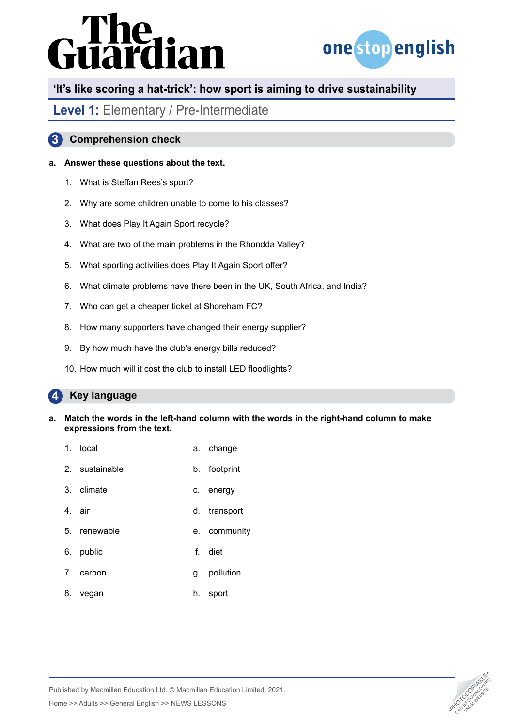# **Guardian**



## **'It's like scoring a hat-trick': how sport is aiming to drive sustainability**

### Level 1: Elementary / Pre-Intermediate

### **3 Comprehension check**

#### **a. Answer these questions about the text.**

- 1. What is Steffan Rees's sport?
- 2. Why are some children unable to come to his classes?
- 3. What does Play It Again Sport recycle?
- 4. What are two of the main problems in the Rhondda Valley?
- 5. What sporting activities does Play It Again Sport offer?
- 6. What climate problems have there been in the UK, South Africa, and India?
- 7. Who can get a cheaper ticket at Shoreham FC?
- 8. How many supporters have changed their energy supplier?
- 9. By how much have the club's energy bills reduced?
- 10. How much will it cost the club to install LED floodlights?

#### **4 Key language**

- **a. Match the words in the left-hand column with the words in the right-hand column to make expressions from the text.**
	- 1. local a. change
	- 2. sustainable b. footprint
	- 3. climate c. energy
	- 4. air d. transport
	- 5. renewable e. community
	- 6. public f. diet
	- 7. carbon g. pollution
	- 8. vegan h. sport



Published by Macmillan Education Ltd. © Macmillan Education Limited, 2021. Analysished by Macmillan Education Ltd. © Macmillan Education Limited, 2021.<br>Home >> Adults >> General English >> NEWS LESSONS •PHOTOCOPIA •PHOTOCOPIA •PHOTOCOPIA •PHOTOCOPIA •PHOTOCOPIA<br>Analysis •Photocopy •PHOTOCOPIA •PH